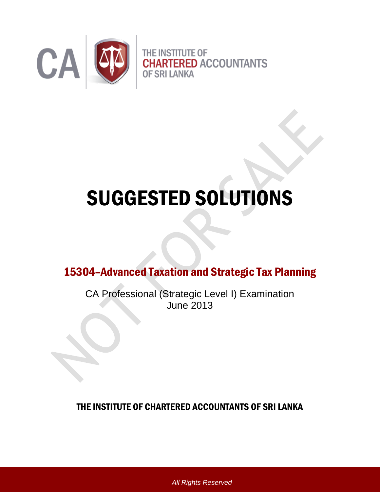

# SUGGESTED SOLUTIONS

15304–Advanced Taxation and Strategic Tax Planning

CA Professional (Strategic Level I) Examination June 2013

THE INSTITUTE OF CHARTERED ACCOUNTANTS OF SRI LANKA

*All Rights Reserved*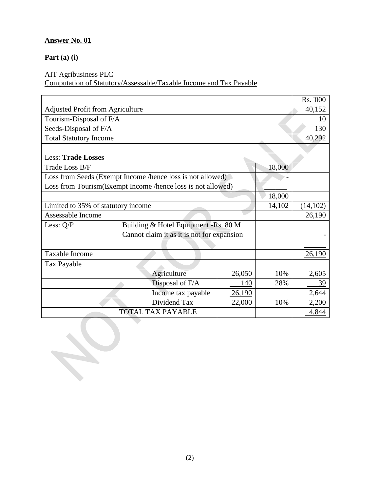#### **Answer No. 01**

**Part (a) (i)**

#### AIT Agribusiness PLC

Computation of Statutory/Assessable/Taxable Income and Tax Payable

|                                                             |                                      |        |        | Rs. '000 |
|-------------------------------------------------------------|--------------------------------------|--------|--------|----------|
| <b>Adjusted Profit from Agriculture</b>                     |                                      |        |        | 40,152   |
| Tourism-Disposal of F/A                                     |                                      |        |        | 10       |
| Seeds-Disposal of F/A                                       |                                      |        |        | 130      |
| <b>Total Statutory Income</b>                               |                                      |        |        | 40,292   |
|                                                             |                                      |        |        |          |
| <b>Less: Trade Losses</b>                                   |                                      |        |        |          |
| Trade Loss B/F                                              |                                      |        | 18,000 |          |
| Loss from Seeds (Exempt Income /hence loss is not allowed)  |                                      |        |        |          |
| Loss from Tourism(Exempt Income /hence loss is not allowed) |                                      |        |        |          |
|                                                             |                                      |        | 18,000 |          |
| Limited to 35% of statutory income                          |                                      |        | 14,102 | (14,102) |
| Assessable Income                                           |                                      |        |        | 26,190   |
| Less: Q/P                                                   | Building & Hotel Equipment -Rs. 80 M |        |        |          |
| Cannot claim it as it is not for expansion                  |                                      |        |        |          |
|                                                             |                                      |        |        |          |
| Taxable Income                                              |                                      |        |        | 26,190   |
| Tax Payable                                                 |                                      |        |        |          |
|                                                             | Agriculture                          | 26,050 | 10%    | 2,605    |
|                                                             | Disposal of F/A                      | 140    | 28%    | 39       |
|                                                             | Income tax payable                   | 26,190 |        | 2,644    |
|                                                             | Dividend Tax                         | 22,000 | 10%    | 2,200    |
| <b>TOTAL TAX PAYABLE</b>                                    |                                      |        |        | 4,844    |
|                                                             |                                      |        |        |          |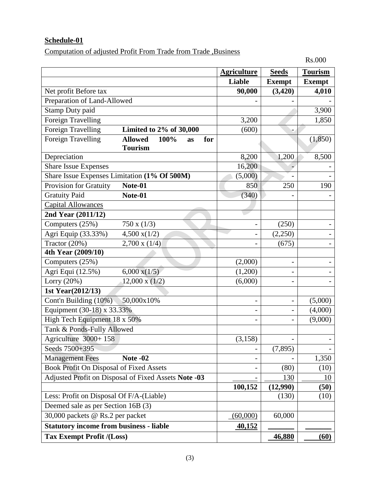## **Schedule-01**

Computation of adjusted Profit From Trade from Trade ,Business

Rs.000

|                                                                  | <b>Agriculture</b>       | <b>Seeds</b>             | <b>Tourism</b> |
|------------------------------------------------------------------|--------------------------|--------------------------|----------------|
|                                                                  | Liable                   | <b>Exempt</b>            | <b>Exempt</b>  |
| Net profit Before tax                                            | 90,000                   | (3, 420)                 | 4,010          |
| Preparation of Land-Allowed                                      |                          |                          |                |
| Stamp Duty paid                                                  |                          |                          | 3,900          |
| <b>Foreign Travelling</b>                                        | 3,200                    |                          | 1,850          |
| Foreign Travelling<br>Limited to 2% of 30,000                    | (600)                    |                          |                |
| <b>Foreign Travelling</b><br><b>Allowed</b><br>100%<br>for<br>as |                          |                          | (1, 850)       |
| <b>Tourism</b>                                                   |                          |                          |                |
| Depreciation                                                     | 8,200                    | 1,200                    | 8,500          |
| <b>Share Issue Expenses</b>                                      | 16,200                   |                          |                |
| Share Issue Expenses Limitation (1% Of 500M)                     | (5,000)                  |                          |                |
| Provision for Gratuity<br>Note-01                                | 850                      | 250                      | 190            |
| <b>Gratuity Paid</b><br>Note- $0\overline{1}$                    | (340)                    |                          |                |
| <b>Capital Allowances</b>                                        |                          |                          |                |
| 2nd Year (2011/12)                                               |                          |                          |                |
| Computers (25%)<br>750 x (1/3)                                   | $\overline{\phantom{0}}$ | (250)                    |                |
| Agri Equip (33.33%)<br>$4,500 \text{ x} (1/2)$                   | $\overline{a}$           | (2,250)                  |                |
| Tractor (20%)<br>$2,700 \times (1/4)$                            |                          | (675)                    |                |
| 4th Year (2009/10)                                               |                          |                          |                |
| Computers (25%)                                                  | (2,000)                  | $\overline{\phantom{a}}$ |                |
| Agri Equi (12.5%)<br>$6,000 \text{ x} (1/5)$                     | (1,200)                  |                          |                |
| Lorry (20%)<br>$12,000 \times (1/2)$                             | (6,000)                  |                          |                |
| 1st Year(2012/13)                                                |                          |                          |                |
| Cont'n Building (10%)<br>50,000x10%                              | -                        |                          | (5,000)        |
| Equipment (30-18) x 33.33%                                       | $\overline{\phantom{0}}$ | $\overline{\phantom{0}}$ | (4,000)        |
| High Tech Equipment 18 x 50%                                     | -                        | $\qquad \qquad -$        | (9,000)        |
| Tank & Ponds-Fully Allowed                                       |                          |                          |                |
| Agriculture 3000+158                                             | (3, 158)                 | $\overline{\phantom{0}}$ |                |
| Seeds 7500+395                                                   | -                        | (7,895)                  |                |
| <b>Management Fees</b><br>Note -02                               |                          |                          | 1,350          |
| Book Profit On Disposal of Fixed Assets                          | -                        | (80)                     | (10)           |
| Adjusted Profit on Disposal of Fixed Assets Note -03             |                          | 130                      | 10             |
|                                                                  | 100,152                  | (12,990)                 | (50)           |
| Less: Profit on Disposal Of F/A-(Liable)                         |                          | (130)                    | (10)           |
| Deemed sale as per Section 16B (3)                               |                          |                          |                |
| 30,000 packets @ Rs.2 per packet                                 | (60,000)                 | 60,000                   |                |
| <b>Statutory income from business - liable</b>                   | <u>40,152</u>            |                          |                |
| <b>Tax Exempt Profit /(Loss)</b>                                 |                          | 46,880                   | (60)           |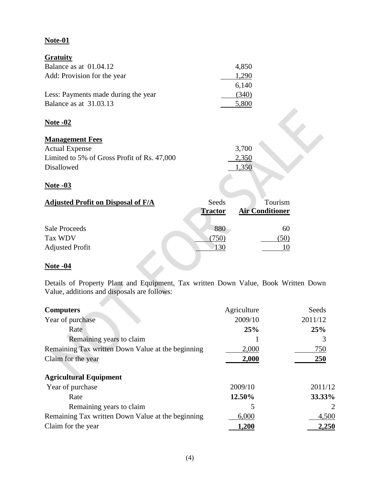### **Note-01**

| <b>Gratuity</b>                             |                |                        |  |
|---------------------------------------------|----------------|------------------------|--|
| Balance as at 01.04.12                      |                | 4,850                  |  |
| Add: Provision for the year                 |                | 1,290                  |  |
|                                             |                | 6,140                  |  |
| Less: Payments made during the year         |                | (340)                  |  |
| Balance as at 31.03.13                      |                | 5,800                  |  |
|                                             |                |                        |  |
| Note -02                                    |                |                        |  |
|                                             |                |                        |  |
| <b>Management Fees</b>                      |                |                        |  |
| <b>Actual Expense</b>                       |                | 3,700                  |  |
| Limited to 5% of Gross Profit of Rs. 47,000 |                | 2,350                  |  |
| <b>Disallowed</b>                           |                | 1,350                  |  |
|                                             |                |                        |  |
| <u>Note -03</u>                             |                |                        |  |
|                                             |                |                        |  |
| <b>Adjusted Profit on Disposal of F/A</b>   | Seeds          | Tourism                |  |
|                                             | <b>Tractor</b> | <b>Air Conditioner</b> |  |
|                                             |                |                        |  |
| <b>Sale Proceeds</b>                        | 880            | 60                     |  |
| Tax WDV                                     | (750)          | (50)                   |  |
| <b>Adjusted Profit</b>                      | 130            | 10                     |  |
|                                             |                |                        |  |

#### **Note -04**

**Contract** 

Details of Property Plant and Equipment, Tax written Down Value, Book Written Down Value, additions and disposals are follows:

| <b>Computers</b>                                  | Agriculture | Seeds      |
|---------------------------------------------------|-------------|------------|
| Year of purchase                                  | 2009/10     | 2011/12    |
| Rate                                              | 25%         | 25%        |
| Remaining years to claim                          |             | 3          |
| Remaining Tax written Down Value at the beginning | 2,000       | 750        |
| Claim for the year                                | 2,000       | <b>250</b> |
|                                                   |             |            |
| <b>Agricultural Equipment</b>                     |             |            |
| Year of purchase                                  | 2009/10     | 2011/12    |
| Rate                                              | 12.50%      | 33.33%     |
| Remaining years to claim                          |             | 2          |
| Remaining Tax written Down Value at the beginning | 6,000       | 4,500      |
| Claim for the year                                | 1,200       | 2,250      |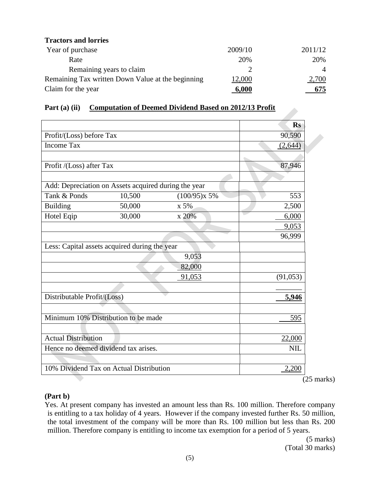| <b>Tractors and lorries</b>                       |         |                |
|---------------------------------------------------|---------|----------------|
| Year of purchase                                  | 2009/10 | 2011/12        |
| Rate                                              | 20%     | 20%            |
| Remaining years to claim                          |         | $\overline{4}$ |
| Remaining Tax written Down Value at the beginning | 12,000  | 2,700          |
| Claim for the year                                | 6,000   | 675            |

| Part (a) (ii) | <b>Computation of Deemed Dividend Based on 2012/13 Profit</b> |
|---------------|---------------------------------------------------------------|
|               |                                                               |

| Part $(a)$ $(II)$                                    |        | Computation of Deemed Dividend Based on 2012/13 Profit |             |
|------------------------------------------------------|--------|--------------------------------------------------------|-------------|
|                                                      |        |                                                        | <b>Rs</b>   |
| Profit/(Loss) before Tax                             |        |                                                        | 90,590      |
| <b>Income Tax</b>                                    |        |                                                        | (2,644)     |
| Profit /(Loss) after Tax                             |        |                                                        | 87,946      |
| Add: Depreciation on Assets acquired during the year |        |                                                        |             |
| Tank & Ponds                                         | 10,500 | $(100/95)x$ 5%                                         | 553         |
| <b>Building</b>                                      | 50,000 | x 5%                                                   | 2,500       |
| Hotel Eqip                                           | 30,000 | x 20%                                                  | 6,000       |
|                                                      |        |                                                        | 9,053       |
|                                                      |        |                                                        | 96,999      |
| Less: Capital assets acquired during the year        |        |                                                        |             |
|                                                      |        | 9,053                                                  |             |
|                                                      |        | 82,000                                                 |             |
|                                                      |        | 91,053                                                 | (91,053)    |
|                                                      |        |                                                        |             |
| Distributable Profit/(Loss)                          |        |                                                        | 5,946       |
| Minimum 10% Distribution to be made                  |        |                                                        | 595         |
|                                                      |        |                                                        |             |
| <b>Actual Distribution</b>                           |        |                                                        | 22,000      |
| Hence no deemed dividend tax arises.                 |        |                                                        | <b>NIL</b>  |
|                                                      |        |                                                        |             |
| 10% Dividend Tax on Actual Distribution              |        |                                                        | 2,200       |
|                                                      |        |                                                        | $\triangle$ |

(25 marks)

#### **(Part b)**

Yes. At present company has invested an amount less than Rs. 100 million. Therefore company is entitling to a tax holiday of 4 years. However if the company invested further Rs. 50 million, the total investment of the company will be more than Rs. 100 million but less than Rs. 200 million. Therefore company is entitling to income tax exemption for a period of 5 years.

(5 marks) (Total 30 marks)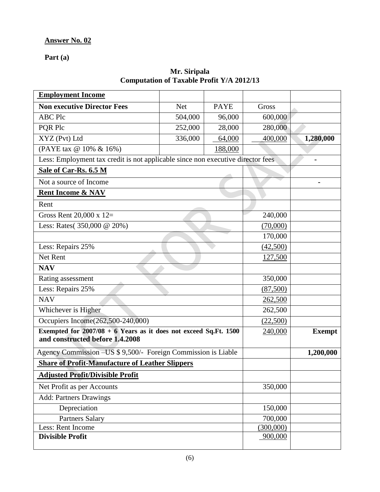## **Answer No. 02**

**Part (a)**

#### **Mr. Siripala Computation of Taxable Profit Y/A 2012/13**

| <b>Employment Income</b>                                                                              |            |             |           |                |
|-------------------------------------------------------------------------------------------------------|------------|-------------|-----------|----------------|
| <b>Non executive Director Fees</b>                                                                    | <b>Net</b> | <b>PAYE</b> | Gross     |                |
| <b>ABC Plc</b>                                                                                        | 504,000    | 96,000      | 600,000   |                |
| PQR Plc                                                                                               | 252,000    | 28,000      | 280,000   |                |
| XYZ (Pvt) Ltd                                                                                         | 336,000    | 64,000      | 400,000   | 1,280,000      |
| (PAYE tax @ 10% & 16%)                                                                                |            | 188,000     |           |                |
| Less: Employment tax credit is not applicable since non executive director fees                       |            |             |           |                |
| Sale of Car-Rs. 6.5 M                                                                                 |            |             |           |                |
| Not a source of Income                                                                                |            |             |           | $\blacksquare$ |
| <b>Rent Income &amp; NAV</b>                                                                          |            |             |           |                |
| Rent                                                                                                  |            |             |           |                |
| Gross Rent 20,000 x 12=                                                                               |            |             | 240,000   |                |
| Less: Rates(350,000 @ 20%)                                                                            |            |             | (70,000)  |                |
|                                                                                                       |            |             | 170,000   |                |
| Less: Repairs 25%                                                                                     |            |             | (42,500)  |                |
| Net Rent                                                                                              |            |             | 127,500   |                |
| <b>NAV</b>                                                                                            |            |             |           |                |
| Rating assessment                                                                                     |            |             | 350,000   |                |
| Less: Repairs 25%                                                                                     |            |             | (87,500)  |                |
| <b>NAV</b>                                                                                            |            |             | 262,500   |                |
| Whichever is Higher                                                                                   |            |             | 262,500   |                |
| Occupiers Income(262,500-240,000)                                                                     |            |             | (22,500)  |                |
| Exempted for $2007/08 + 6$ Years as it does not exceed Sq.Ft. 1500<br>and constructed before 1.4.2008 |            |             | 240,000   | <b>Exempt</b>  |
| Agency Commission - US \$ 9,500/- Foreign Commission is Liable                                        |            |             |           | 1,200,000      |
| <b>Share of Profit-Manufacture of Leather Slippers</b>                                                |            |             |           |                |
| <b>Adjusted Profit/Divisible Profit</b>                                                               |            |             |           |                |
| Net Profit as per Accounts                                                                            |            |             | 350,000   |                |
| <b>Add: Partners Drawings</b>                                                                         |            |             |           |                |
| Depreciation                                                                                          |            |             | 150,000   |                |
| <b>Partners Salary</b>                                                                                |            |             | 700,000   |                |
| Less: Rent Income                                                                                     |            |             | (300,000) |                |
| <b>Divisible Profit</b>                                                                               |            |             | 900,000   |                |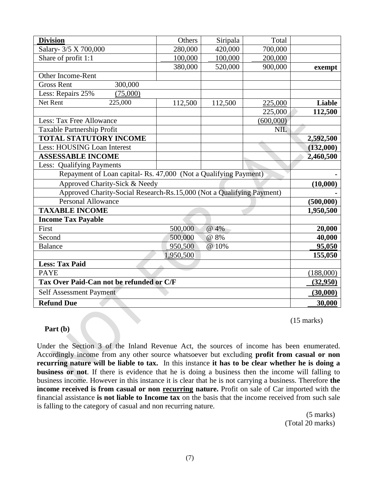| <b>Division</b>                                                       | Others    | Siripala | Total      |               |
|-----------------------------------------------------------------------|-----------|----------|------------|---------------|
| Salary- 3/5 X 700,000                                                 | 280,000   | 420,000  | 700,000    |               |
| Share of profit 1:1                                                   | 100,000   | 100,000  | 200,000    |               |
|                                                                       | 380,000   | 520,000  | 900,000    | exempt        |
| <b>Other Income-Rent</b>                                              |           |          |            |               |
| 300,000<br><b>Gross Rent</b>                                          |           |          |            |               |
| Less: Repairs 25%<br>(75,000)                                         |           |          |            |               |
| Net Rent<br>225,000                                                   | 112,500   | 112,500  | 225,000    | <b>Liable</b> |
|                                                                       |           |          | 225,000    | 112,500       |
| Less: Tax Free Allowance                                              |           |          | (600,000)  |               |
| <b>Taxable Partnership Profit</b>                                     |           |          | <b>NIL</b> |               |
| <b>TOTAL STATUTORY INCOME</b>                                         |           |          |            | 2,592,500     |
| Less: HOUSING Loan Interest                                           |           |          |            | (132,000)     |
| <b>ASSESSABLE INCOME</b>                                              |           |          |            | 2,460,500     |
| Less: Qualifying Payments                                             |           |          |            |               |
| Repayment of Loan capital-Rs. 47,000 (Not a Qualifying Payment)       |           |          |            |               |
| Approved Charity-Sick & Needy                                         | (10,000)  |          |            |               |
| Approved Charity-Social Research-Rs.15,000 (Not a Qualifying Payment) |           |          |            |               |
| <b>Personal Allowance</b>                                             |           |          |            | (500,000)     |
| <b>TAXABLE INCOME</b>                                                 |           |          |            | 1,950,500     |
| <b>Income Tax Payable</b>                                             |           |          |            |               |
| First                                                                 | 500,000   | @ 4%     |            | 20,000        |
| Second                                                                | 500,000   | @ 8%     |            | 40,000        |
| <b>Balance</b>                                                        | 950,500   | @ 10%    |            | 95,050        |
|                                                                       | 1,950,500 |          |            | 155,050       |
| <b>Less: Tax Paid</b>                                                 |           |          |            |               |
| <b>PAYE</b>                                                           |           |          |            | (188,000)     |
| Tax Over Paid-Can not be refunded or C/F                              | (32,950)  |          |            |               |
| <b>Self Assessment Payment</b>                                        |           |          |            | (30,000)      |
| <b>Refund Due</b>                                                     |           |          |            | 30,000        |

(15 marks)

#### **Part (b)**

Under the Section 3 of the Inland Revenue Act, the sources of income has been enumerated. Accordingly income from any other source whatsoever but excluding **profit from casual or non recurring nature will be liable to tax.** In this instance **it has to be clear whether he is doing a business or not**. If there is evidence that he is doing a business then the income will falling to business income. However in this instance it is clear that he is not carrying a business. Therefore **the income received is from casual or non recurring nature.** Profit on sale of Car imported with the financial assistance **is not liable to Income tax** on the basis that the income received from such sale is falling to the category of casual and non recurring nature.

> (5 marks) (Total 20 marks)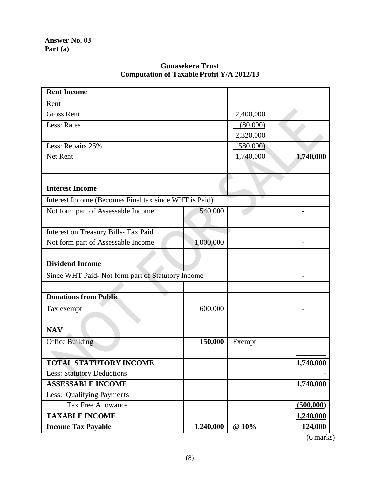## **Gunasekera Trust Computation of Taxable Profit Y/A 2012/13**

| <b>Rent Income</b>                                    |           |           |           |
|-------------------------------------------------------|-----------|-----------|-----------|
| Rent                                                  |           |           |           |
| <b>Gross Rent</b>                                     |           | 2,400,000 |           |
| Less: Rates                                           |           | (80,000)  |           |
|                                                       |           | 2,320,000 |           |
| Less: Repairs 25%                                     |           | (580,000) |           |
| Net Rent                                              |           | 1,740,000 | 1,740,000 |
|                                                       |           |           |           |
|                                                       |           |           |           |
| <b>Interest Income</b>                                |           |           |           |
| Interest Income (Becomes Final tax since WHT is Paid) |           |           |           |
| Not form part of Assessable Income                    | 540,000   |           |           |
|                                                       |           |           |           |
| Interest on Treasury Bills- Tax Paid                  |           |           |           |
| Not form part of Assessable Income                    | 1,000,000 |           |           |
|                                                       |           |           |           |
| <b>Dividend Income</b>                                |           |           |           |
| Since WHT Paid- Not form part of Statutory Income     |           |           |           |
|                                                       |           |           |           |
| <b>Donations from Public</b>                          |           |           |           |
| Tax exempt                                            | 600,000   |           |           |
|                                                       |           |           |           |
| <b>NAV</b>                                            |           |           |           |
| <b>Office Building</b>                                | 150,000   | Exempt    |           |
|                                                       |           |           |           |
| <b>TOTAL STATUTORY INCOME</b>                         |           |           | 1,740,000 |
| <b>Less: Statutory Deductions</b>                     |           |           |           |
| <b>ASSESSABLE INCOME</b>                              |           |           | 1,740,000 |
| Less: Qualifying Payments                             |           |           |           |
| <b>Tax Free Allowance</b>                             |           |           | (500,000) |
| <b>TAXABLE INCOME</b>                                 |           |           | 1,240,000 |
| <b>Income Tax Payable</b>                             | 1,240,000 | @ 10%     | 124,000   |

(6 marks)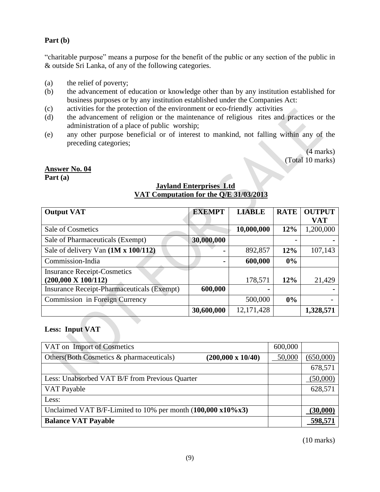#### **Part (b)**

"charitable purpose" means a purpose for the benefit of the public or any section of the public in & outside Sri Lanka, of any of the following categories.

- (a) the relief of poverty;
- (b) the advancement of education or knowledge other than by any institution established for business purposes or by any institution established under the Companies Act:
- (c) activities for the protection of the environment or eco-friendly activities
- (d) the advancement of religion or the maintenance of religious rites and practices or the administration of a place of public worship;
- (e) any other purpose beneficial or of interest to mankind, not falling within any of the preceding categories;

(4 marks) (Total 10 marks)

#### **Answer No. 04**

**Part (a)**

#### **Jayland Enterprises Ltd VAT Computation for the Q/E 31/03/2013**

| <b>Output VAT</b>                                 | <b>EXEMPT</b> | <b>LIABLE</b> | <b>RATE</b> | <b>OUTPUT</b> |
|---------------------------------------------------|---------------|---------------|-------------|---------------|
|                                                   |               |               |             | <b>VAT</b>    |
| Sale of Cosmetics                                 |               | 10,000,000    | 12%         | 1,200,000     |
| Sale of Pharmaceuticals (Exempt)                  | 30,000,000    |               |             |               |
| Sale of delivery Van (1M x 100/112)               |               | 892,857       | 12%         | 107,143       |
| Commission-India                                  |               | 600,000       | $0\%$       |               |
| <b>Insurance Receipt-Cosmetics</b>                |               |               |             |               |
| $(200,000 \text{ X } 100/112)$                    |               | 178,571       | 12%         | 21,429        |
| <b>Insurance Receipt-Pharmaceuticals (Exempt)</b> | 600,000       |               |             |               |
| Commission in Foreign Currency                    |               | 500,000       | $0\%$       |               |
|                                                   | 30,600,000    | 12, 171, 428  |             | 1,328,571     |

#### **Less: Input VAT**

| VAT on Import of Cosmetics                                                  | 600,000 |           |
|-----------------------------------------------------------------------------|---------|-----------|
| Others (Both Cosmetics & pharmaceuticals)<br>$(200,000 \times 10/40)$       | 50,000  | (650,000) |
|                                                                             |         | 678,571   |
| Less: Unabsorbed VAT B/F from Previous Quarter                              |         | (50,000)  |
| VAT Payable                                                                 |         | 628,571   |
| Less:                                                                       |         |           |
| Unclaimed VAT B/F-Limited to 10% per month $(100,000 \times 10\% \times 3)$ |         | (30,000)  |
| <b>Balance VAT Payable</b>                                                  |         | 598,571   |

(10 marks)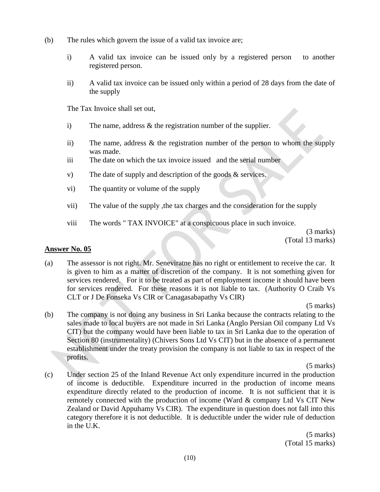- (b) The rules which govern the issue of a valid tax invoice are;
	- i) A valid tax invoice can be issued only by a registered person to another registered person.
	- ii) A valid tax invoice can be issued only within a period of 28 days from the date of the supply

The Tax Invoice shall set out,

- i) The name, address & the registration number of the supplier.
- ii) The name, address & the registration number of the person to whom the supply was made.
- iii The date on which the tax invoice issued and the serial number
- v) The date of supply and description of the goods & services.
- vi) The quantity or volume of the supply
- vii) The value of the supply ,the tax charges and the consideration for the supply
- viii The words " TAX INVOICE" at a conspicuous place in such invoice.

(3 marks) (Total 13 marks)

#### **Answer No. 05**

(a) The assessor is not right. Mr. Seneviratne has no right or entitlement to receive the car. It is given to him as a matter of discretion of the company. It is not something given for services rendered. For it to be treated as part of employment income it should have been for services rendered. For these reasons it is not liable to tax. (Authority O Craib Vs CLT or J De Fonseka Vs CIR or Canagasabapathy Vs CIR)

(5 marks)

(b) The company is not doing any business in Sri Lanka because the contracts relating to the sales made to local buyers are not made in Sri Lanka (Anglo Persian Oil company Ltd Vs CIT) but the company would have been liable to tax in Sri Lanka due to the operation of Section 80 (instrumentality) (Chivers Sons Ltd Vs CIT) but in the absence of a permanent establishment under the treaty provision the company is not liable to tax in respect of the profits.

(5 marks)

(c) Under section 25 of the Inland Revenue Act only expenditure incurred in the production of income is deductible. Expenditure incurred in the production of income means expenditure directly related to the production of income. It is not sufficient that it is remotely connected with the production of income (Ward & company Ltd Vs CIT New Zealand or David Appuhamy Vs CIR). The expenditure in question does not fall into this category therefore it is not deductible. It is deductible under the wider rule of deduction in the U.K.

> (5 marks) (Total 15 marks)